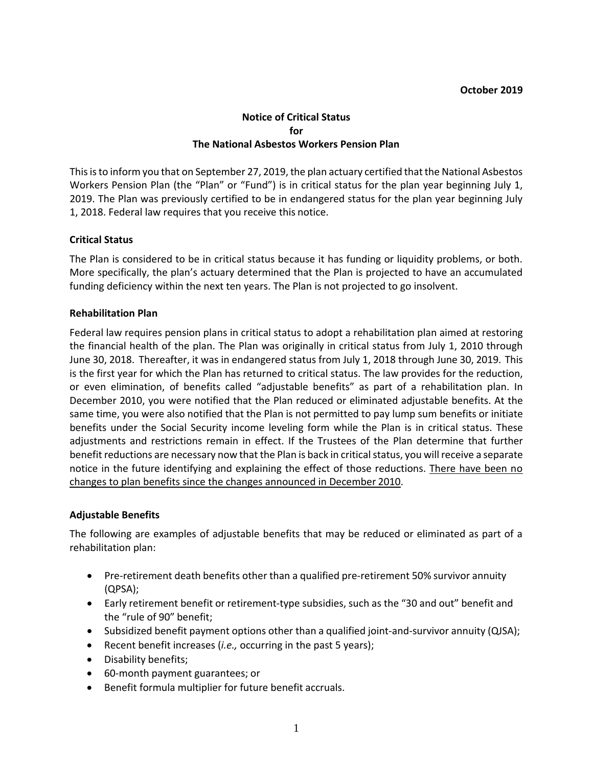#### **Notice of Critical Status for The National Asbestos Workers Pension Plan**

 This is to inform you that on September 27, 2019, the plan actuary certified that the National Asbestos 1, 2018. Federal law requires that you receive this notice. Workers Pension Plan (the "Plan" or "Fund") is in critical status for the plan year beginning July 1, 2019. The Plan was previously certified to be in endangered status for the plan year beginning July

## **Critical Status**

The Plan is considered to be in critical status because it has funding or liquidity problems, or both. More specifically, the plan's actuary determined that the Plan is projected to have an accumulated funding deficiency within the next ten years. The Plan is not projected to go insolvent.

#### **Rehabilitation Plan**

 Federal law requires pension plans in critical status to adopt a rehabilitation plan aimed at restoring June 30, 2018. Thereafter, it was in endangered status from July 1, 2018 through June 30, 2019. This is the first year for which the Plan has returned to critical status. The law provides for the reduction, same time, you were also notified that the Plan is not permitted to pay lump sum benefits or initiate adjustments and restrictions remain in effect. If the Trustees of the Plan determine that further benefit reductions are necessary now that the Plan is back in critical status, you will receive a separate changes to plan benefits since the changes announced in December 2010. the financial health of the plan. The Plan was originally in critical status from July 1, 2010 through or even elimination, of benefits called "adjustable benefits" as part of a rehabilitation plan. In December 2010, you were notified that the Plan reduced or eliminated adjustable benefits. At the benefits under the Social Security income leveling form while the Plan is in critical status. These notice in the future identifying and explaining the effect of those reductions. There have been no

## **Adjustable Benefits**

 The following are examples of adjustable benefits that may be reduced or eliminated as part of a rehabilitation plan:

- • Pre-retirement death benefits other than a qualified pre-retirement 50% survivor annuity (QPSA);
- • Early retirement benefit or retirement-type subsidies, such as the "30 and out" benefit and the "rule of 90" benefit;
- Subsidized benefit payment options other than a qualified joint-and-survivor annuity (QJSA);
- Recent benefit increases (*i.e.,* occurring in the past 5 years);
- Disability benefits;
- 60-month payment guarantees; or
- Benefit formula multiplier for future benefit accruals.